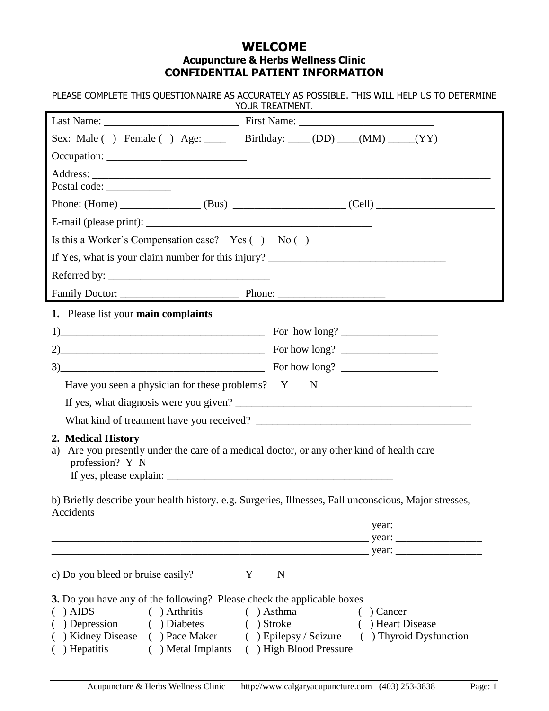## **WELCOME Acupuncture & Herbs Wellness Clinic CONFIDENTIAL PATIENT INFORMATION**

|                                                                                                                                                                                                                                       | PLEASE COMPLETE THIS QUESTIONNAIRE AS ACCURATELY AS POSSIBLE. THIS WILL HELP US TO DETERMINE<br>YOUR TREATMENT.                                                                                                                      |
|---------------------------------------------------------------------------------------------------------------------------------------------------------------------------------------------------------------------------------------|--------------------------------------------------------------------------------------------------------------------------------------------------------------------------------------------------------------------------------------|
|                                                                                                                                                                                                                                       |                                                                                                                                                                                                                                      |
| Sex: Male ( ) Female ( ) Age: _____ Birthday: ____ (DD) ____(MM) _____(YY)                                                                                                                                                            |                                                                                                                                                                                                                                      |
| Occupation:                                                                                                                                                                                                                           |                                                                                                                                                                                                                                      |
| Postal code:                                                                                                                                                                                                                          |                                                                                                                                                                                                                                      |
|                                                                                                                                                                                                                                       |                                                                                                                                                                                                                                      |
|                                                                                                                                                                                                                                       |                                                                                                                                                                                                                                      |
| Is this a Worker's Compensation case? Yes () No ()                                                                                                                                                                                    |                                                                                                                                                                                                                                      |
|                                                                                                                                                                                                                                       |                                                                                                                                                                                                                                      |
|                                                                                                                                                                                                                                       |                                                                                                                                                                                                                                      |
|                                                                                                                                                                                                                                       |                                                                                                                                                                                                                                      |
| 1. Please list your main complaints                                                                                                                                                                                                   |                                                                                                                                                                                                                                      |
|                                                                                                                                                                                                                                       |                                                                                                                                                                                                                                      |
|                                                                                                                                                                                                                                       |                                                                                                                                                                                                                                      |
|                                                                                                                                                                                                                                       |                                                                                                                                                                                                                                      |
| Have you seen a physician for these problems? Y                                                                                                                                                                                       | N                                                                                                                                                                                                                                    |
|                                                                                                                                                                                                                                       |                                                                                                                                                                                                                                      |
|                                                                                                                                                                                                                                       |                                                                                                                                                                                                                                      |
| 2. Medical History<br>Are you presently under the care of a medical doctor, or any other kind of health care<br>a)<br>profession? Y N                                                                                                 |                                                                                                                                                                                                                                      |
| b) Briefly describe your health history. e.g. Surgeries, Illnesses, Fall unconscious, Major stresses,<br>Accidents                                                                                                                    |                                                                                                                                                                                                                                      |
|                                                                                                                                                                                                                                       | <u>under a series and the series of the series of the series of the series of the series of the series of the series of the series of the series of the series of the series of the series of the series of the series of the se</u> |
|                                                                                                                                                                                                                                       | <u>under an experimental control of the second control of the second control of the second control of the second control of the second control of the second control of the second control of the second control of the second c</u> |
| c) Do you bleed or bruise easily?<br>Y                                                                                                                                                                                                | N                                                                                                                                                                                                                                    |
| <b>3.</b> Do you have any of the following? Please check the applicable boxes<br>$( )$ AIDS<br>$( )$ Arthritis<br>( ) Diabetes<br>( ) Stroke<br>( ) Depression<br>) Kidney Disease () Pace Maker<br>) Hepatitis<br>( ) Metal Implants | $( )$ Asthma<br>Cancer<br>$\overline{ }$<br>( ) Heart Disease<br>$( )$ Epilepsy / Seizure<br>( ) Thyroid Dysfunction<br>( ) High Blood Pressure                                                                                      |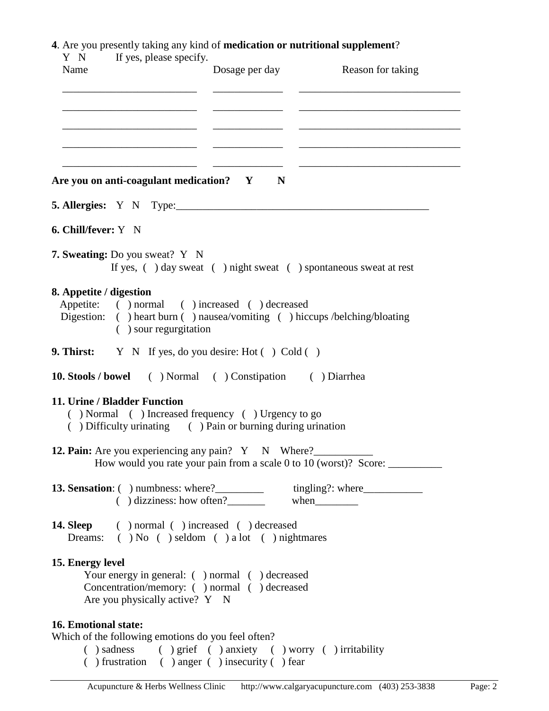# **4**. Are you presently taking any kind of **medication or nutritional supplement**?

| Y N<br>Name                           | If yes, please specify.                                                                                                          | Dosage per day<br><b>Reason for taking</b>                                       |
|---------------------------------------|----------------------------------------------------------------------------------------------------------------------------------|----------------------------------------------------------------------------------|
|                                       |                                                                                                                                  |                                                                                  |
|                                       |                                                                                                                                  |                                                                                  |
|                                       |                                                                                                                                  |                                                                                  |
|                                       | Are you on anti-coagulant medication? Y                                                                                          | N                                                                                |
|                                       |                                                                                                                                  |                                                                                  |
| 6. Chill/fever: Y N                   |                                                                                                                                  |                                                                                  |
| <b>7. Sweating:</b> Do you sweat? Y N |                                                                                                                                  | If yes, $( )$ day sweat $( )$ night sweat $( )$ spontaneous sweat at rest        |
| 8. Appetite / digestion               | Appetite: ( ) normal ( ) increased ( ) decreased<br>() sour regurgitation                                                        | Digestion: () heart burn () nausea/vomiting () hiccups /belching/bloating        |
|                                       | <b>9. Thirst:</b> $Y \ N$ If yes, do you desire: Hot () Cold ()                                                                  |                                                                                  |
|                                       | 10. Stools / bowel () Normal () Constipation () Diarrhea                                                                         |                                                                                  |
| 11. Urine / Bladder Function          | () Normal () Increased frequency () Urgency to go<br>() Difficulty urinating () Pain or burning during urination                 |                                                                                  |
|                                       | 12. Pain: Are you experiencing any pain? Y N Where?                                                                              | How would you rate your pain from a scale 0 to 10 (worst)? Score: ______________ |
|                                       | $\left( \quad \right)$ dizziness: how often?                                                                                     |                                                                                  |
|                                       | <b>14. Sleep</b> () normal () increased () decreased<br>Dreams: ( ) No ( ) seldom ( ) a lot ( ) nightmares                       |                                                                                  |
| 15. Energy level                      | Your energy in general: () normal () decreased<br>Concentration/memory: () normal () decreased<br>Are you physically active? Y N |                                                                                  |
| <b>16. Emotional state:</b>           | Which of the following emotions do you feel often?<br>() frustration () anger () insecurity () fear                              | () sadness () grief () anxiety () worry () irritability                          |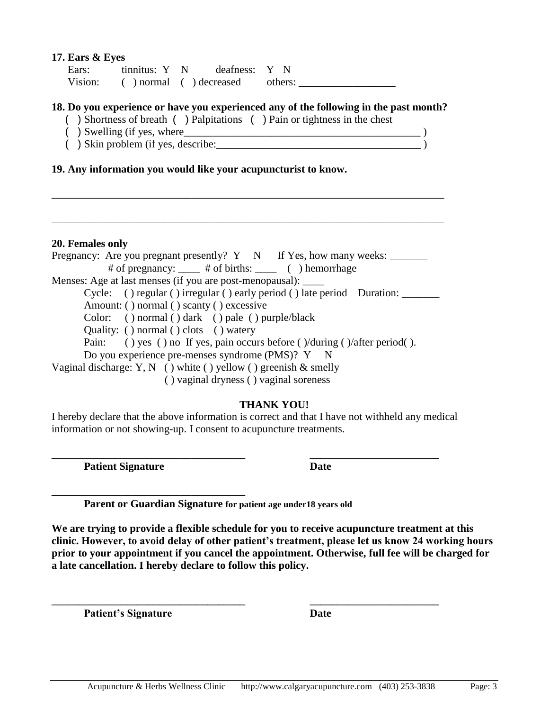### **17. Ears & Eyes**

| Ears:   | tinnitus: Y N | deafness: Y N                  |  |  |
|---------|---------------|--------------------------------|--|--|
| Vision: |               | () normal () decreased others: |  |  |

### **18. Do you experience or have you experienced any of the following in the past month?**

- ( ) Shortness of breath ( ) Palpitations ( ) Pain or tightness in the chest
- ( ) Swelling (if yes, where\_\_\_\_\_\_\_\_\_\_\_\_\_\_\_\_\_\_\_\_\_\_\_\_\_\_\_\_\_\_\_\_\_\_\_\_\_\_\_\_\_\_\_\_ )
- $($ ) Skin problem (if yes, describe:  $\sqrt{2}$  )

\_\_\_\_\_\_\_\_\_\_\_\_\_\_\_\_\_\_\_\_\_\_\_\_\_\_\_\_\_\_\_\_\_\_\_\_\_\_\_\_\_\_\_\_\_\_\_\_\_\_\_\_\_\_\_\_\_\_\_\_\_\_\_\_\_\_\_\_\_\_\_\_\_

\_\_\_\_\_\_\_\_\_\_\_\_\_\_\_\_\_\_\_\_\_\_\_\_\_\_\_\_\_\_\_\_\_\_\_\_\_\_\_\_\_\_\_\_\_\_\_\_\_\_\_\_\_\_\_\_\_\_\_\_\_\_\_\_\_\_\_\_\_\_\_\_\_

### **19. Any information you would like your acupuncturist to know.**

### **20. Females only**

| Pregnancy: Are you pregnant presently? Y N If Yes, how many weeks: _____        |
|---------------------------------------------------------------------------------|
| # of pregnancy: ____ # of births: ____ () hemorrhage                            |
| Menses: Age at last menses (if you are post-menopausal): ______                 |
| Cycle: () regular () irregular () early period () late period Duration: _______ |
| Amount: () normal () scanty () excessive                                        |
| Color: () normal () dark () pale () purple/black                                |
| Quality: () normal () clots () watery                                           |
| Pain: () yes () no If yes, pain occurs before ()/during ()/after period().      |
| Do you experience pre-menses syndrome (PMS)? Y N                                |
| Vaginal discharge: Y, N () white () yellow () greenish $\&$ smelly              |
| () vaginal dryness () vaginal soreness                                          |

## **THANK YOU!**

I hereby declare that the above information is correct and that I have not withheld any medical information or not showing-up. I consent to acupuncture treatments.

**\_\_\_\_\_\_\_\_\_\_\_\_\_\_\_\_\_\_\_\_\_\_\_\_\_\_\_\_\_\_\_\_\_\_\_\_ \_\_\_\_\_\_\_\_\_\_\_\_\_\_\_\_\_\_\_\_\_\_\_\_**

**\_\_\_\_\_\_\_\_\_\_\_\_\_\_\_\_\_\_\_\_\_\_\_\_\_\_\_\_\_\_\_\_\_\_\_\_ \_\_\_\_\_\_\_\_\_\_\_\_\_\_\_\_\_\_\_\_\_\_\_\_**

**Patient Signature Date** 

**\_\_\_\_\_\_\_\_\_\_\_\_\_\_\_\_\_\_\_\_\_\_\_\_\_\_\_\_\_\_\_\_\_\_\_\_**

**Parent or Guardian Signature for patient age under18 years old**

**We are trying to provide a flexible schedule for you to receive acupuncture treatment at this clinic. However, to avoid delay of other patient's treatment, please let us know 24 working hours prior to your appointment if you cancel the appointment. Otherwise, full fee will be charged for a late cancellation. I hereby declare to follow this policy.** 

**Patient's Signature Date**